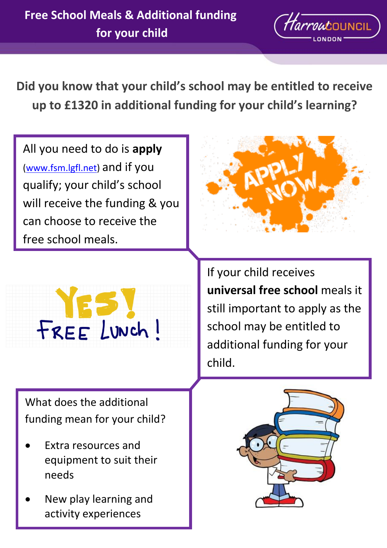

**Did you know that your child's school may be entitled to receive up to £1320 in additional funding for your child's learning?**

All you need to do is **apply** [\(www.fsm.lgfl.net\)](www.fsm.lgfl.net) and if you qualify; your child's school will receive the funding & you can choose to receive the free school meals.





What does the additional funding mean for your child?

- Extra resources and equipment to suit their needs
- New play learning and activity experiences

If your child receives **universal free school** meals it still important to apply as the school may be entitled to additional funding for your child.